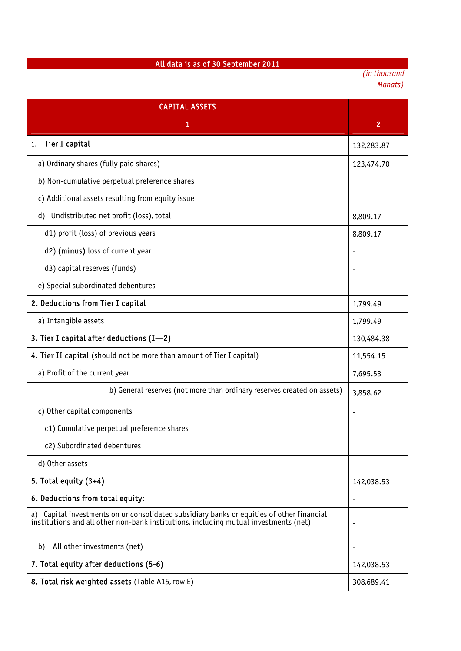## All data is as of 30 September 2011

*(in thousand Manats)* 

| <b>CAPITAL ASSETS</b>                                                                                                                                                               |                |
|-------------------------------------------------------------------------------------------------------------------------------------------------------------------------------------|----------------|
| 1                                                                                                                                                                                   | $\overline{2}$ |
| Tier I capital<br>1.                                                                                                                                                                | 132,283.87     |
| a) Ordinary shares (fully paid shares)                                                                                                                                              | 123,474.70     |
| b) Non-cumulative perpetual preference shares                                                                                                                                       |                |
| c) Additional assets resulting from equity issue                                                                                                                                    |                |
| d) Undistributed net profit (loss), total                                                                                                                                           | 8,809.17       |
| d1) profit (loss) of previous years                                                                                                                                                 | 8,809.17       |
| d2) (minus) loss of current year                                                                                                                                                    |                |
| d3) capital reserves (funds)                                                                                                                                                        | $\overline{a}$ |
| e) Special subordinated debentures                                                                                                                                                  |                |
| 2. Deductions from Tier I capital                                                                                                                                                   | 1,799.49       |
| a) Intangible assets                                                                                                                                                                | 1,799.49       |
| 3. Tier I capital after deductions $(I-2)$                                                                                                                                          | 130,484.38     |
| 4. Tier II capital (should not be more than amount of Tier I capital)                                                                                                               | 11,554.15      |
| a) Profit of the current year                                                                                                                                                       | 7,695.53       |
| b) General reserves (not more than ordinary reserves created on assets)                                                                                                             | 3,858.62       |
| c) Other capital components                                                                                                                                                         |                |
| c1) Cumulative perpetual preference shares                                                                                                                                          |                |
| c2) Subordinated debentures                                                                                                                                                         |                |
| d) Other assets                                                                                                                                                                     |                |
| 5. Total equity $(3+4)$                                                                                                                                                             | 142,038.53     |
| 6. Deductions from total equity:                                                                                                                                                    |                |
| Capital investments on unconsolidated subsidiary banks or equities of other financial<br>a)<br>institutions and all other non-bank institutions, including mutual investments (net) |                |
| All other investments (net)<br>b)                                                                                                                                                   |                |
| 7. Total equity after deductions (5-6)                                                                                                                                              | 142,038.53     |
| 8. Total risk weighted assets (Table A15, row E)                                                                                                                                    | 308,689.41     |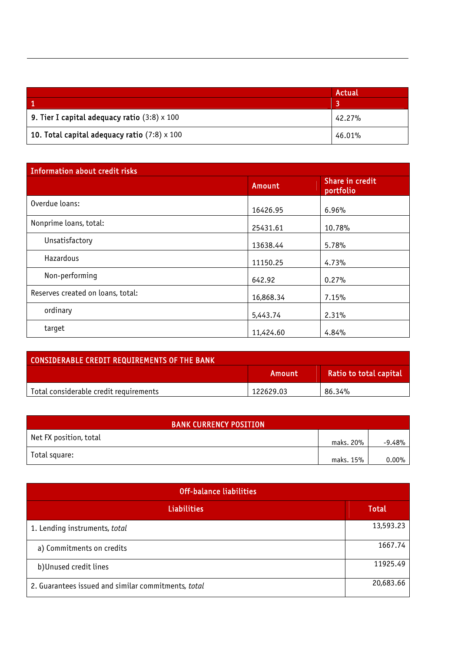|                                                     | Actual |
|-----------------------------------------------------|--------|
|                                                     |        |
| 9. Tier I capital adequacy ratio $(3:8) \times 100$ | 42.27% |
| 10. Total capital adequacy ratio $(7:8) \times 100$ | 46.01% |

| <b>Information about credit risks</b> |           |                              |
|---------------------------------------|-----------|------------------------------|
|                                       | Amount    | Share in credit<br>portfolio |
| Overdue loans:                        | 16426.95  | 6.96%                        |
| Nonprime loans, total:                | 25431.61  | 10.78%                       |
| Unsatisfactory                        | 13638.44  | 5.78%                        |
| Hazardous                             | 11150.25  | 4.73%                        |
| Non-performing                        | 642.92    | 0.27%                        |
| Reserves created on loans, total:     | 16,868.34 | 7.15%                        |
| ordinary                              | 5,443.74  | 2.31%                        |
| target                                | 11,424.60 | 4.84%                        |

| <b>CONSIDERABLE CREDIT REQUIREMENTS OF THE BANK</b> |           |                        |
|-----------------------------------------------------|-----------|------------------------|
|                                                     | Amount    | Ratio to total capital |
| Total considerable credit requirements              | 122629.03 | 86.34%                 |

| <b>BANK CURRENCY POSITION</b> |           |          |
|-------------------------------|-----------|----------|
| Net FX position, total        | maks. 20% | $-9.48%$ |
| Total square:                 | maks. 15% | $0.00\%$ |

| <b>Off-balance liabilities</b>                      |           |  |
|-----------------------------------------------------|-----------|--|
| <b>Liabilities</b>                                  | Total     |  |
| 1. Lending instruments, total                       | 13,593.23 |  |
| a) Commitments on credits                           | 1667.74   |  |
| b) Unused credit lines                              | 11925.49  |  |
| 2. Guarantees issued and similar commitments, total | 20,683.66 |  |